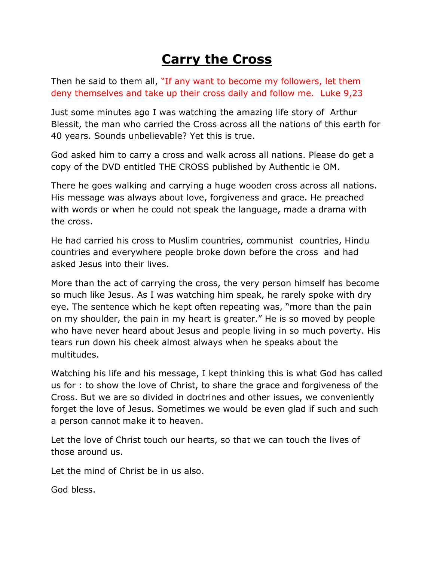## **Carry the Cross**

Then he said to them all, "If any want to become my followers, let them deny themselves and take up their cross daily and follow me. Luke 9,23

Just some minutes ago I was watching the amazing life story of Arthur Blessit, the man who carried the Cross across all the nations of this earth for 40 years. Sounds unbelievable? Yet this is true.

God asked him to carry a cross and walk across all nations. Please do get a copy of the DVD entitled THE CROSS published by Authentic ie OM.

There he goes walking and carrying a huge wooden cross across all nations. His message was always about love, forgiveness and grace. He preached with words or when he could not speak the language, made a drama with the cross.

He had carried his cross to Muslim countries, communist countries, Hindu countries and everywhere people broke down before the cross and had asked Jesus into their lives.

More than the act of carrying the cross, the very person himself has become so much like Jesus. As I was watching him speak, he rarely spoke with dry eye. The sentence which he kept often repeating was, "more than the pain on my shoulder, the pain in my heart is greater." He is so moved by people who have never heard about Jesus and people living in so much poverty. His tears run down his cheek almost always when he speaks about the multitudes.

Watching his life and his message, I kept thinking this is what God has called us for : to show the love of Christ, to share the grace and forgiveness of the Cross. But we are so divided in doctrines and other issues, we conveniently forget the love of Jesus. Sometimes we would be even glad if such and such a person cannot make it to heaven.

Let the love of Christ touch our hearts, so that we can touch the lives of those around us.

Let the mind of Christ be in us also.

God bless.